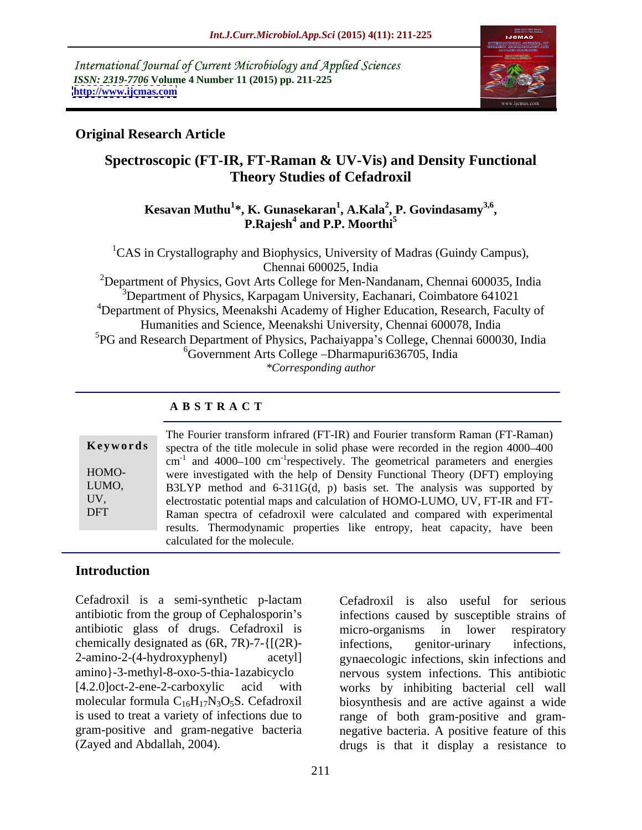International Journal of Current Microbiology and Applied Sciences *ISSN: 2319-7706* **Volume 4 Number 11 (2015) pp. 211-225 <http://www.ijcmas.com>**



### **Original Research Article**

## **Spectroscopic (FT-IR, FT-Raman & UV-Vis) and Density Functional Theory Studies of Cefadroxil**

### $\bold{Kesavan\, Muthu}^{1*}, \bold{K. \, Gunasekaran}^{1}, \bold{A. Kala}^{2}, \bold{P. \, Govindasamy}^{3,6},$ **, P. Govindasamy3,6 , P.Rajesh<sup>4</sup> and P.P. Moorthi<sup>5</sup> and P.P. Moorthi<sup>5</sup>**

<sup>1</sup>CAS in Crystallography and Biophysics, University of Madras (Guindy Campus), Chennai 600025, India

<sup>2</sup>Department of Physics, Govt Arts College for Men-Nandanam, Chennai 600035, India  $3D$ epartment of Physics, Karpagam University, Eachanari, Coimbatore 641021 <sup>4</sup>Department of Physics, Meenakshi Academy of Higher Education, Research, Faculty of Humanities and Science, Meenakshi University, Chennai 600078, India <sup>5</sup>PG and Research Department of Physics, Pachaiyappa's College, Chennai 600030, India <sup>6</sup>Government Arts College – Dharmapuri 636705, India *\*Corresponding author*

### **A B S T R A C T**

DFT

The Fourier transform infrared (FT-IR) and Fourier transform Raman (FT-Raman) **Keywords** spectra of the title molecule in solid phase were recorded in the region 4000–400  $\rm cm^{-1}$  and 4000–100  $\rm cm^{-1}$ respectively. The geometrical parameters and energies were investigated with the help of Density Functional Theory (DFT) employing HOMO- B3LYP method and 6-311G(d, p) basis set. The analysis was supported by LUMO, UV, electrostatic potential maps and calculation of HOMO-LUMO, UV, FT-IR and FT-Raman spectra of cefadroxil were calculated and compared with experimental results. Thermodynamic properties like entropy, heat capacity, have been calculated for the molecule.

### **Introduction**

Cefadroxil is a semi-synthetic p-lactam antibiotic from the group of Cephalosporin's infections caused by susceptible strains of antibiotic glass of drugs. Cefadroxil is micro-organisms in lower respiratory chemically designated as  $(6R, 7R)$ -7-{[(2R)-<br>infections, genitor-urinary infections, 2-amino-2-(4-hydroxyphenyl) acetyl] gynaecologic infections, skin infections and amino}-3-methyl-8-oxo-5-thia-1azabicyclo nervous system infections. This antibiotic [4.2.0]oct-2-ene-2-carboxylic acid with works by inhibiting bacterial cell wall molecular formula  $C_{16}H_{17}N_3O_5S$ . Cefadroxil biosynthesis and are active against a wide is used to treat a variety of infections due to range of both gram-positive and gramgram-positive and gram-negative bacteria negative bacteria. A positive feature of this

Cefadroxil is a semi-synthetic p-lactam Cefadroxil is also useful for serious<br>antibiotic from the group of Cephalosporin's infections caused by susceptible strains of<br>antibiotic glass of drugs. Cefadroxil is micro-organis micro-organisms in lower respiratory infections, genitor-urinary infections, drugs is that it display a resistance to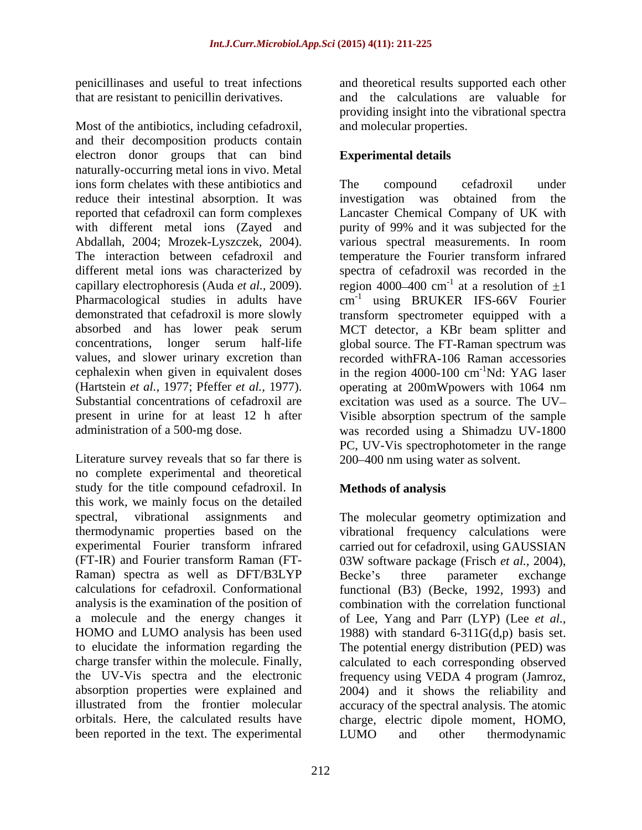Most of the antibiotics, including cefadroxil, and their decomposition products contain electron donor groups that can bind naturally-occurring metal ions in vivo. Metal ions form chelates with these antibiotics and The compound cefadroxil under reduce their intestinal absorption. It was investigation was obtained from the reported that cefadroxil can form complexes with different metal ions (Zayed and purity of 99% and it was subjected for the Abdallah, 2004; Mrozek-Lyszczek*,* 2004). The interaction between cefadroxil and different metal ions was characterized by spectra of cefadroxil was recorded in the capillary electrophoresis (Auda *et al.*, 2009). region 4000–400 cm<sup>-1</sup> at a resolution of  $\pm 1$ Pharmacological studies in adults have cm<sup>-1</sup> using BRUKER IFS-66V Fourier demonstrated that cefadroxil is more slowly transform spectrometer equipped with a absorbed and has lower peak serum MCT detector, a KBr beam splitter and concentrations, longer serum half-life global source. The FT-Raman spectrum was values, and slower urinary excretion than recorded withFRA-106 Raman accessories cephalexin when given in equivalent doses in the region  $4000-100$  cm<sup>-1</sup>Nd: YAG laser (Hartstein *et al.*, 1977; Pfeffer *et al.*, 1977). operating at 200mWpowers with 1064 nm<br>Substantial concentrations of cefadroxil are excitation was used as a source. The UV– present in urine for at least 12 h after Visible absorption spectrum of the sample

Literature survey reveals that so far there is no complete experimental and theoretical study for the title compound cefadroxil. In this work, we mainly focus on the detailed spectral, vibrational assignments and The molecular geometry optimization and thermodynamic properties based on the vibrational frequency calculations were experimental Fourier transform infrared carried out for cefadroxil, using GAUSSIAN (FT-IR) and Fourier transform Raman (FT-<br>03W software package (Frisch et al., 2004), Raman) spectra as well as DFT/B3LYP Becke's three parameter exchange calculations for cefadroxil. Conformational functional (B3) (Becke, 1992, 1993) and analysis is the examination of the position of combination with the correlation functional a molecule and the energy changes it of Lee, Yang and Parr (LYP) (Lee *et al.,* HOMO and LUMO analysis has been used 1988) with standard 6-311G(d,p) basis set. to elucidate the information regarding the The potential energy distribution (PED) was charge transfer within the molecule. Finally, calculated to each corresponding observed the UV-Vis spectra and the electronic frequency using VEDA 4 program (Jamroz, absorption properties were explained and 2004) and it shows the reliability and illustrated from the frontier molecular accuracy of the spectral analysis. The atomic orbitals. Here, the calculated results have charge, electric dipole moment, HOMO, been reported in the text. The experimental LUMO and other thermodynamic

penicillinases and useful to treat infections and theoretical results supported each other that are resistant to penicillin derivatives. and the calculations are valuable for providing insight into the vibrational spectra and molecular properties.

### **Experimental details**

administration of a 500-mg dose. was recorded using a Shimadzu UV-1800 The compound cefadroxil under investigation was obtained from the Lancaster Chemical Company of UK with various spectral measurements. In room temperature the Fourier transform infrared at a resolution of  $\pm 1$ using BRUKER IFS-66V Fourier <sup>-1</sup>Nd: YAG laser operating at 200mWpowers with 1064 nm excitation was used as a source. The UV PC, UV-Vis spectrophotometer in the range 200 400 nm using water as solvent.

### **Methods of analysis**

03W software package (Frisch *et al.*, 2004),<br>Becke's three parameter exchange LUMO and other thermodynamic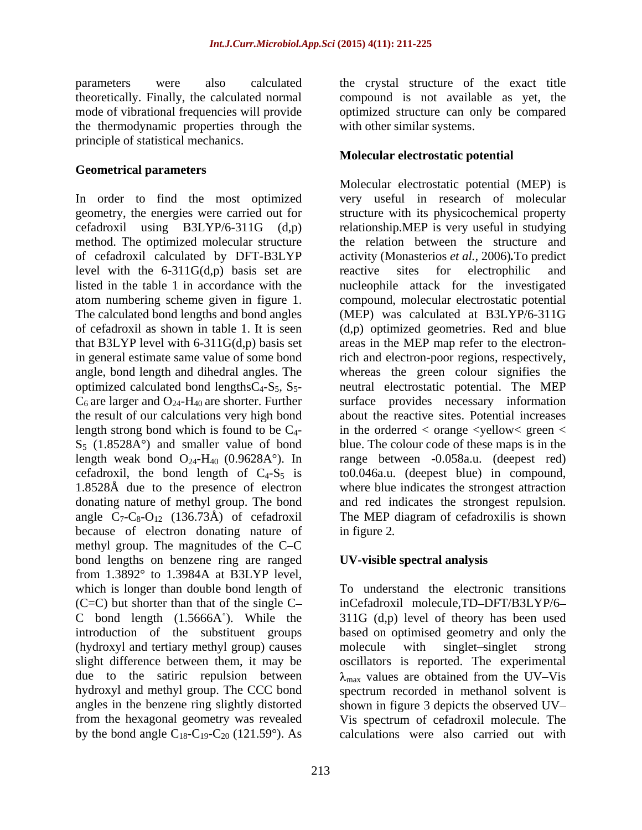parameters were also calculated the crystal structure of the exact title theoretically. Finally, the calculated normal compound is not available as yet, the mode of vibrational frequencies will provide optimized structure can only be compared the thermodynamic properties through the principle of statistical mechanics.

### **Geometrical parameters**

method. The optimized molecular structure level with the 6-311G(d,p) basis set are reactive sites for electrophilic and  $S_5$  (1.8528A $\degree$ ) and smaller value of bond 1.8528Å due to the presence of electron because of electron donating nature of in figure 2. methyl group. The magnitudes of the C-C bond lengths on benzene ring are ranged from 1.3892° to 1.3984A at B3LYP level, which is longer than double bond length of To understand the electronic transitions  $(C=C)$  but shorter than that of the single  $C-$ C bond length  $(1.5666A^{\circ})$ . While the  $311G$  (d,p) level of theory has been used introduction of the substituent groups based on optimised geometry and only the (hydroxyl and tertiary methyl group) causes molecule with singlet-singlet strong slight difference between them, it may be oscillators is reported. The experimental due to the satiric repulsion between  $\lambda_{\text{max}}$  values are obtained from the UV–Vis hydroxyl and methyl group. The CCC bond spectrum recorded in methanol solvent is angles in the benzene ring slightly distorted shown in figure 3 depicts the observed UV from the hexagonal geometry was revealed Vis spectrum of cefadroxil molecule. The by the bond angle  $C_{18}$ - $C_{19}$ - $C_{20}$  (121.59°). As calculations were also carried out with

with other similar systems.

### **Molecular electrostatic potential**

In order to find the most optimized very useful in research of molecular geometry, the energies were carried out for structure with its physicochemical property cefadroxil using B3LYP/6-311G (d,p) relationship.MEP is very useful in studying of cefadroxil calculated by DFT-B3LYP activity (Monasterios *et al.,* 2006)*.*To predict listed in the table 1 in accordance with the nucleophile attack for the investigated atom numbering scheme given in figure 1. compound, molecular electrostatic potential The calculated bond lengths and bond angles (MEP) was calculated at B3LYP/6-311G of cefadroxil as shown in table 1. It is seen (d,p) optimized geometries. Red and blue that B3LYP level with 6-311G(d,p) basis set areas in the MEP map refer to the electronin general estimate same value of some bond rich and electron-poor regions, respectively, angle, bond length and dihedral angles. The whereas the green colour signifies the optimized calculated bond lengths $C_4$ -S<sub>5</sub>, S<sub>5</sub>- neutral electrostatic potential. The MEP  $C_6$  are larger and  $O_{24}$ -H<sub>40</sub> are shorter. Further surface provides necessary information the result of our calculations very high bond about the reactive sites. Potential increases length strong bond which is found to be  $C_4$ - in the orderred  $\lt$  orange  $\lt$ yellow $\lt$  green  $\lt$ length weak bond  $O_{24}$ -H<sub>40</sub> (0.9628A°). In range between  $-0.058$ a.u. (deepest red) cefadroxil, the bond length of  $C_4$ - $S_5$  is to 0.046a.u. (deepest blue) in compound, donating nature of methyl group. The bond and red indicates the strongest repulsion. angle  $C_7 - C_8 - O_{12}$  (136.73Å) of cefadroxil The MEP diagram of cefadroxilis is shown Molecular electrostatic potential (MEP) is the relation between the structure and reactive sites for electrophilic and blue. The colour code of these maps is in the where blue indicates the strongest attraction in figure 2*.*

### **UV-visible spectral analysis**

inCefadroxil molecule,TD-DFT/B3LYP/6molecule with singlet singlet strong  $_{\text{max}}$  values are obtained from the UV-Vis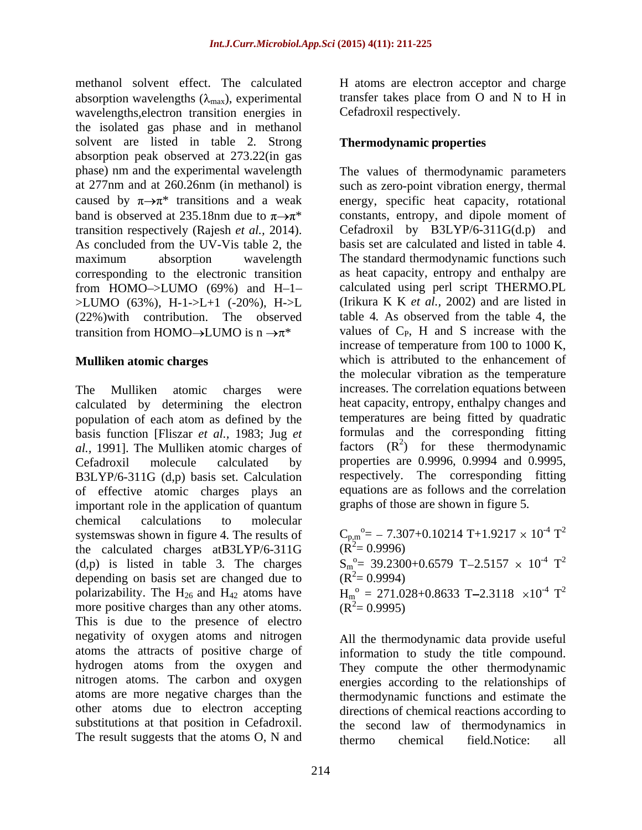methanol solvent effect. The calculated absorption wavelengths  $(\lambda_{\text{max}})$ , experimental wavelengths,electron transition energies in the isolated gas phase and in methanol solvent are listed in table 2*.* Strong absorption peak observed at 273.22(in gas transition respectively (Rajesh *et al.,* 2014). As concluded from the UV-Vis table 2, the from HOMO $\rightarrow$ LUMO (69%) and H-1- $>LUMO$  (63%), H-1- $>L+1$  (-20%), H- $>L$ (22%)with contribution. The observed transition from HOMO $\rightarrow$ LUMO is n  $\rightarrow \pi^*$ 

The Mulliken atomic charges were increases. The correlation equations between calculated by determining the electron population of each atom as defined by the basis function [Fliszar *et al.,* 1983; Jug *et al.,* 1991]. The Mulliken atomic charges of Cefadroxil molecule calculated by properties are 0.9996, 0.9994 and 0.9995, B3LYP/6-311G (d,p) basis set. Calculation of effective atomic charges plays an important role in the application of quantum chemical calculations to molecular systemswas shown in figure 4. The results of  $C_{p,m}^{\qquad o} = -7.307 + 0.10214 \text{ T} + 1.9217 \times 10^{-4} \text{ T}^2$ the calculated charges at B3LYP/6-311G  $(\overline{R}^2 = 0.9996)$ (d,p) is listed in table 3. The charges  $S_m^o = 39.2300 + 0.6579$  T-2.5157  $\times$  10<sup>-4</sup> T<sup>2</sup> depending on basis set are changed due to  $(R^2 = 0.9994)$ polarizability. The H<sub>26</sub> and H<sub>42</sub> atoms have  $H_m^o = 271.028 + 0.8633$  T-2.3118  $\times 10^{-4}$  T<sup>2</sup> more positive charges than any other atoms.  $(R^2 = 0.9995)$ This is due to the presence of electro negativity of oxygen atoms and nitrogen All the thermodynamic data provide useful atoms the attracts of positive charge of hydrogen atoms from the oxygen and nitrogen atoms. The carbon and oxygen atoms are more negative charges than the thermodynamic functions and estimate the other atoms due to electron accepting directions of chemical reactions according to substitutions at that position in Cefadroxil. The result suggests that the atoms O, N and thermo chemical field. Notice: all

H atoms are electron acceptor and charge transfer takes place from O and N to H in Cefadroxil respectively.

### **Thermodynamic properties**

phase) nm and the experimental wavelength The values of thermodynamic parameters at 277nm and at 260.26nm (in methanol) is such as zero-point vibration energy, thermal caused by  $\pi \rightarrow \pi^*$  transitions and a weak energy, specific heat capacity, rotational band is observed at 235.18nm due to  $\pi \rightarrow \pi^*$  constants, entropy, and dipole moment of maximum absorption wavelength The standard thermodynamic functions such corresponding to the electronic transition as heat capacity, entropy and enthalpy are **Mulliken atomic charges** which is attributed to the enhancement of constants, entropy, and dipole moment of Cefadroxil by B3LYP/6-311G(d.p) and basis set are calculated and listed in table 4. calculated using perl script THERMO.PL (Irikura K K *et al.,* 2002) and are listed in table 4*.* As observed from the table 4, the values of  $C_P$ , H and S increase with the increase of temperature from 100 to 1000 K, the molecular vibration as the temperature heat capacity, entropy, enthalpy changes and temperatures are being fitted by quadratic formulas and the corresponding fitting factors  $(R^2)$  for these thermodynamic respectively. The corresponding fitting equations are as follows and the correlation graphs of those are shown in figure 5*.*

> $T^2$ 2  $(\dot{R}^2 = 0.9996)$  $T^2$ 2  $(R^2=0.9994)$ 2  $(R^2=0.9995)$

information to study the title compound. They compute the other thermodynamic energies according to the relationships of the second law of thermodynamics in thermo chemical field.Notice: all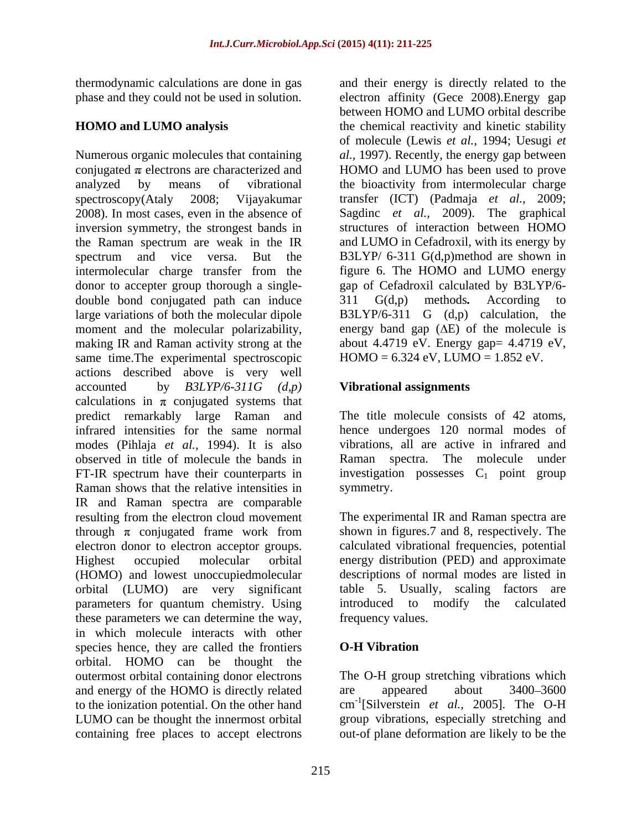Numerous organic molecules that containing *al.,* 1997). Recently, the energy gap between conjugated  $\pi$  electrons are characterized and  $\qquad$  HOMO and LUMO has been used to prove analyzed by means of vibrational the bioactivity from intermolecular charge spectroscopy(Ataly 2008; Vijayakumar transfer (ICT) (Padmaja *et al.,* 2009; 2008). In most cases, even in the absence of inversion symmetry, the strongest bands in the Raman spectrum are weak in the IR and LUMO in Cefadroxil, with its energy by spectrum and vice versa. But the B3LYP/ 6-311 G(d,p)method are shown in intermolecular charge transfer from the donor to accepter group thorough a single- gap of Cefadroxil calculated by B3LYP/6 double bond conjugated path can induce  $311 \text{ } G(d,p)$  methods. According to large variations of both the molecular dipole<br>moment and the molecular polarizability, energy band gap  $(\Delta E)$  of the molecule is moment and the molecular polarizability, energy band gap  $(\Delta E)$  of the molecule is making IR and Raman activity strong at the same time.The experimental spectroscopic actions described above is very well accounted by *B3LYP/6-311G (d,p)* calculations in  $\pi$  conjugated systems that predict remarkably large Raman and infrared intensities for the same normal modes (Pihlaja *et al.,* 1994). It is also vibrations, all are active in infrared and observed in title of molecule the bands in FT-IR spectrum have their counterparts in investigation possesses  $C_1$  point group Raman shows that the relative intensities in symmetry. IR and Raman spectra are comparable resulting from the electron cloud movement through  $\pi$  conjugated frame work from electron donor to electron acceptor groups. calculated vibrational frequencies, potential Highest occupied molecular orbital energy distribution (PED) and approximate (HOMO) and lowest unoccupiedmolecular descriptions of normal modes are listed in orbital (LUMO) are very significant parameters for quantum chemistry. Using introduced to modify the calculated these parameters we can determine the way, in which molecule interacts with other species hence, they are called the frontiers **O-H Vibration** orbital. HOMO can be thought the outermost orbital containing donor electrons and energy of the HOMO is directly related are appeared about 3400–3600 to the ionization potential. On the other hand LUMO can be thought the innermost orbital containing free places to accept electrons

thermodynamic calculations are done in gas and their energy is directly related to the phase and they could not be used in solution. electron affinity (Gece 2008).Energy gap **HOMO and LUMO analysis** the chemical reactivity and kinetic stability between HOMO and LUMO orbital describe of molecule (Lewis *et al.,* 1994; Uesugi *et*  Sagdinc *et al.,* 2009). The graphical structures of interaction between HOMO figure 6. The HOMO and LUMO energy 311 G(d,p) methods*.* According to B3LYP/6-311 G  $(d,p)$  calculation, about 4.4719 eV. Energy gap=  $4.4719$  eV,  $HOMO = 6.324$  eV,  $LUMO = 1.852$  eV.

### **Vibrational assignments**

The title molecule consists of 42 atoms, hence undergoes 120 normal modes of Raman spectra. The molecule under symmetry.

The experimental IR and Raman spectra are shown in figures.7 and 8, respectively. The table 5. Usually, scaling factors are introduced to modify the calculated frequency values.

### **O-H Vibration**

The O-H group stretching vibrations which are appeared about 3400–3600 cm -1 [Silverstein *et al.,* 2005]. The O-H group vibrations, especially stretching and out-of plane deformation are likely to be the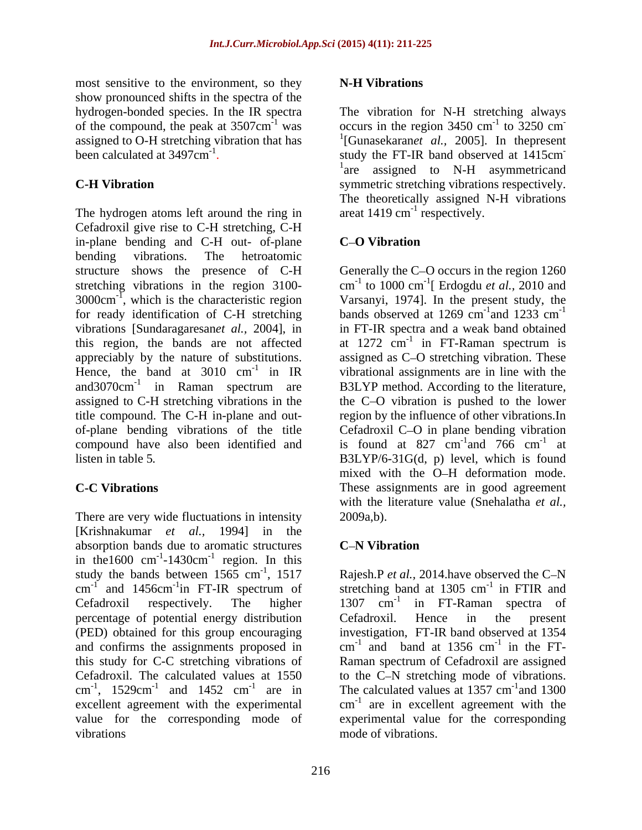most sensitive to the environment, so they **N-H Vibrations** show pronounced shifts in the spectra of the hydrogen-bonded species. In the IR spectra been calculated at  $3497 \text{cm}^{-1}$ .

The hydrogen atoms left around the ring in Cefadroxil give rise to C-H stretching, C-H in-plane bending and C-H out- of-plane C-O Vibration bending vibrations. The hetroatomic structure shows the presence of C-H Generally the C-O occurs in the region 1260 stretching vibrations in the region 3100- cm<sup>-1</sup> to 1000 cm<sup>-1</sup>[ Erdogdu *et al.*, 2010 and 3000cm-1 , which is the characteristic region Varsanyi, 1974]. In the present study, the for ready identification of C-H stretching bands observed at 1269 cm<sup>-1</sup>and 1233 cm<sup>-1</sup> vibrations [Sundaragaresan*et al.,* 2004], in this region, the bands are not affected at  $1272 \text{ cm}^{-1}$  in FT-Raman spectrum is appreciably by the nature of substitutions. assigned as C-O stretching vibration. These Hence, the band at  $3010 \text{ cm}^{-1}$  in IR and 3070cm<sup>-1</sup> in Raman spectrum are B3LYP method. According to the literature, assigned to C-H stretching vibrations in the the C-O vibration is pushed to the lower title compound. The C-H in-plane and out- region by the influence of other vibrations.In of-plane bending vibrations of the title compound have also been identified and is found at  $827 \text{ cm}^{-1}$  and  $766 \text{ cm}^{-1}$  at listen in table 5*.* B3LYP/6-31G(d, p) level, which is found

There are very wide fluctuations in intensity  $2009a,b$ . [Krishnakumar *et al.,* 1994] in the absorption bands due to aromatic structures  $C-N$  Vibration in the  $1600 \text{ cm}^{-1}$ -1430cm<sup>-1</sup> region. In this region. In this study the bands between 1565 cm<sup>-1</sup>, 1517 percentage of potential energy distribution Cefadroxil. The calculated values at 1550 cm<sup>-1</sup>, 1529cm<sup>-1</sup> and 1452 cm<sup>-1</sup> are in excellent agreement with the experimental value for the corresponding mode of

### **N-H Vibrations**

of the compound, the peak at  $3507 \text{cm}^{-1}$  was occurs in the region 3450 cm<sup>-1</sup> to 3250 cm<sup>-</sup> assigned to O-H stretching vibration that has 1 [Gunasekaran*et al.,* 2005]. In thepresent been calculated at 3497cm<sup>-1</sup>. Study the FT-IR band observed at 1415cm **C-H Vibration** symmetric stretching vibrations respectively. The vibration for N-H stretching always  $-1$  to 2250 cm<sup>-</sup> to 3250 cm **-** Construction of the construction **-** Andrea Maria Maria Maria <sup>1</sup>are assigned to N-H asymmetricand The theoretically assigned N-H vibrations areat  $1419 \text{ cm}^{-1}$  respectively. respectively.

### **C O Vibration**

<sup>-1</sup> in IR vibrational assignments are in line with the **C-C Vibrations** These assignments are in good agreement to  $1000 \text{ cm}^{-1}$  Erdogdu *et al.*,  $2010$  and [ Erdogdu *et al.,* 2010 and  $^{-1}$  and 1922 cm<sup>-1</sup> and  $1233 \text{ cm}^{-1}$ -1 in FT-IR spectra and a weak band obtained in FT-Raman spectrum is Cefadroxil C-O in plane bending vibration  $^{-1}$  and 766  $\alpha$ m<sup>-1</sup> at and  $766 \text{ cm}^{-1}$  at  $-1$  of at mixed with the O-H deformation mode. with the literature value (Snehalatha *et al.,* 2009a,b).

### **C N Vibration**

<sup>-1</sup>, 1517 Rajesh.P *et al.*, 2014.have observed the C-N cm<sup>-1</sup> and 1456cm<sup>-1</sup>in FT-IR spectrum of stretching band at 1305 cm<sup>-1</sup> in FTIR and Cefadroxil respectively. The higher  $1307 \text{ cm}^{-1}$  in FT-Raman spectra of (PED) obtained for this group encouraging investigation, FT-IR band observed at 1354 and confirms the assignments proposed in  $cm^{-1}$  and band at 1356  $cm^{-1}$  in the FTthis study for C-C stretching vibrations of Raman spectrum of Cefadroxil are assigned cm<sup>-1</sup>, 1529cm<sup>-1</sup> and 1452 cm<sup>-1</sup> are in The calculated values at 1357 cm<sup>-1</sup> and 1300 vibrations mode of vibrations.  $^{-1}$  in ETID and in FTIR and Cefadroxil. Hence in the present and band at  $1356 \text{ cm}^{-1}$  in the FT- $^{-1}$  in the ET in the FT to the C-N stretching mode of vibrations.  $^{-1}$  and 1200 and 1300 cm<sup>-1</sup> are in excellent agreement with the experimental value for the corresponding mode of vibrations.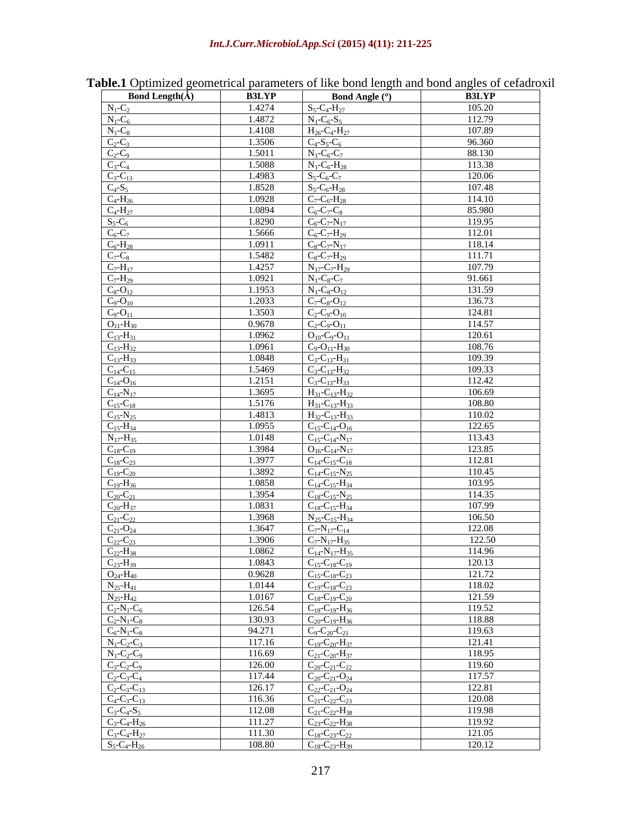| <b>Bond Length</b> $(\AA)$                                                                                                                                                                                                                                                                                                                                                                                                                                                  | <b>B3LYP</b> | <b>Bond Angle (°)</b>                      | <b>B3LYP</b> |
|-----------------------------------------------------------------------------------------------------------------------------------------------------------------------------------------------------------------------------------------------------------------------------------------------------------------------------------------------------------------------------------------------------------------------------------------------------------------------------|--------------|--------------------------------------------|--------------|
|                                                                                                                                                                                                                                                                                                                                                                                                                                                                             | 1.4274       | $S_5-C_4-H_{27}$                           | 105.20       |
| $\begin{array}{l} \hline N_1\hbox{-} C_2 \\ \hline N_1\hbox{-} C_6 \\ \hline N_1\hbox{-} C_8 \\ \hline C_2\hbox{-} C_3 \\ \hline C_2\hbox{-} C_3 \\ \hline C_3\hbox{-} C_4 \\ \hline C_4\hbox{-} H_{26} \\ \hline C_4\hbox{-} H_{27} \\ \hline C_4\hbox{-} H_{28} \\ \hline C_5\hbox{-} C_6 \\ \hline C_6\hbox{-} C_7 \\ \hline C_7\hbox{-} H_{17} \\ \hline C_7\hbox{-} H_{29} \\ \hline C_8\h$                                                                            | 1.4872       | $N_1-C_6-S_5$                              | 112.79       |
|                                                                                                                                                                                                                                                                                                                                                                                                                                                                             | 1.4108       | $H_{26}$ -C <sub>4</sub> -H <sub>27</sub>  | 107.89       |
|                                                                                                                                                                                                                                                                                                                                                                                                                                                                             | 1.3506       | $C_4-S_5-C_6$                              | 96.360       |
|                                                                                                                                                                                                                                                                                                                                                                                                                                                                             | 1.5011       | $N_1 - C_6 - C_7$                          | 88.130       |
|                                                                                                                                                                                                                                                                                                                                                                                                                                                                             | 1.5088       | $N_1-C_6-H_{28}$                           | 113.38       |
|                                                                                                                                                                                                                                                                                                                                                                                                                                                                             | 1.4983       | $S_5-C_6-C_7$                              | 120.06       |
|                                                                                                                                                                                                                                                                                                                                                                                                                                                                             | 1.8528       | $S_5-C_6-H_{28}$                           | 107.48       |
|                                                                                                                                                                                                                                                                                                                                                                                                                                                                             | 1.0928       | $C_7-C_6-H_{28}$                           | 114.10       |
|                                                                                                                                                                                                                                                                                                                                                                                                                                                                             | 1.0894       | $C_6$ -C <sub>7</sub> -C <sub>8</sub>      | 85.980       |
|                                                                                                                                                                                                                                                                                                                                                                                                                                                                             | 1.8290       | $C_6$ -C <sub>7</sub> -N <sub>17</sub>     | 119.95       |
|                                                                                                                                                                                                                                                                                                                                                                                                                                                                             | 1.5666       | $C_6 - C_7 - H_{29}$                       | 112.01       |
|                                                                                                                                                                                                                                                                                                                                                                                                                                                                             | 1.0911       | $C_8 - C_7 - N_{17}$                       | 118.14       |
|                                                                                                                                                                                                                                                                                                                                                                                                                                                                             | 1.5482       | $C_8$ - $C_7$ - $H_{29}$                   | 111.71       |
|                                                                                                                                                                                                                                                                                                                                                                                                                                                                             | 1.4257       | $N_{17}$ -C <sub>7</sub> -H <sub>29</sub>  | 107.79       |
|                                                                                                                                                                                                                                                                                                                                                                                                                                                                             | 1.0921       | $N_1-C_8-C_7$                              | 91.661       |
|                                                                                                                                                                                                                                                                                                                                                                                                                                                                             | 1.1953       | $N_1 - C_8 - O_{12}$                       | 131.59       |
|                                                                                                                                                                                                                                                                                                                                                                                                                                                                             | 1.2033       | $C_7-C_8-O_{12}$                           | 136.73       |
|                                                                                                                                                                                                                                                                                                                                                                                                                                                                             | 1.3503       | $C_2$ -C <sub>9</sub> -O <sub>10</sub>     | 124.81       |
|                                                                                                                                                                                                                                                                                                                                                                                                                                                                             | 0.9678       | $C_2$ - $C_9$ - $O_{11}$                   | 114.57       |
|                                                                                                                                                                                                                                                                                                                                                                                                                                                                             | 1.0962       | $O_{10}$ -C <sub>9</sub> -O <sub>11</sub>  | 120.61       |
|                                                                                                                                                                                                                                                                                                                                                                                                                                                                             | 1.0961       | $C_9$ -O <sub>11</sub> -H <sub>30</sub>    | 108.76       |
|                                                                                                                                                                                                                                                                                                                                                                                                                                                                             | 1.0848       | $C_3 - C_{13} - H_{31}$                    | 109.39       |
|                                                                                                                                                                                                                                                                                                                                                                                                                                                                             | 1.5469       |                                            | 109.33       |
| $\frac{C_{14}-C_{15}}{C_{14}-O_{16}}$                                                                                                                                                                                                                                                                                                                                                                                                                                       |              | $C_3 - C_{13} - H_{32}$                    |              |
|                                                                                                                                                                                                                                                                                                                                                                                                                                                                             | 1.2151       | $C_3 - C_{13} - H_{33}$                    | 112.42       |
|                                                                                                                                                                                                                                                                                                                                                                                                                                                                             | 1.3695       | $H_{31}$ -C <sub>13</sub> -H <sub>32</sub> | 106.69       |
|                                                                                                                                                                                                                                                                                                                                                                                                                                                                             | 1.5176       | $H_{31}$ -C <sub>13</sub> -H <sub>33</sub> | 108.80       |
|                                                                                                                                                                                                                                                                                                                                                                                                                                                                             | 1.4813       | $H_{32}$ -C <sub>13</sub> -H <sub>33</sub> | 110.02       |
|                                                                                                                                                                                                                                                                                                                                                                                                                                                                             | 1.0955       | $C_{15}$ -C <sub>14</sub> -O <sub>16</sub> | 122.65       |
|                                                                                                                                                                                                                                                                                                                                                                                                                                                                             | 1.0148       | $C_{15}$ - $C_{14}$ - $N_{17}$             | 113.43       |
|                                                                                                                                                                                                                                                                                                                                                                                                                                                                             | 1.3984       | $O_{16}$ -C <sub>14</sub> -N <sub>17</sub> | 123.85       |
| $\begin{array}{c} \underline{C_{14}-N_{17}} \\ \underline{C_{15}-C_{18}} \\ \underline{C_{15}-N_{25}} \\ \underline{C_{15}-N_{34}} \\ \underline{N_{17}-H_{35}} \\ \underline{C_{18}-C_{19}} \\ \underline{C_{18}-C_{20}} \\ \underline{C_{19}-C_{20}} \\ \underline{C_{19}-H_{36}} \\ \underline{C_{20}-C_{21}} \\ \underline{C_{20}-H_{37}} \\ \underline{C_{21}-C_{22}} \\ \underline{C_{22}-C_{23}} \\ \underline{C_{22}-C_{23}} \\ \underline{C_{22}-H_{38}} \\ \end{$ | 1.3977       | $C_{14}$ -C <sub>15</sub> -C <sub>18</sub> | 112.81       |
|                                                                                                                                                                                                                                                                                                                                                                                                                                                                             | 1.3892       | $C_{14}$ -C <sub>15</sub> -N <sub>25</sub> | 110.45       |
|                                                                                                                                                                                                                                                                                                                                                                                                                                                                             | 1.0858       | $C_{14}$ -C <sub>15</sub> -H <sub>34</sub> | 103.95       |
|                                                                                                                                                                                                                                                                                                                                                                                                                                                                             | 1.3954       | $C_{18}$ -C <sub>15</sub> -N <sub>25</sub> | 114.35       |
|                                                                                                                                                                                                                                                                                                                                                                                                                                                                             | 1.0831       | $C_{18}$ -C <sub>15</sub> -H <sub>34</sub> | 107.99       |
|                                                                                                                                                                                                                                                                                                                                                                                                                                                                             | 1.3968       | $N_{25}$ -C <sub>15</sub> -H <sub>34</sub> | 106.50       |
|                                                                                                                                                                                                                                                                                                                                                                                                                                                                             | 1.3647       | $C_7-N_{17}-C_{14}$                        | 122.08       |
|                                                                                                                                                                                                                                                                                                                                                                                                                                                                             | 1.3906       | $C_7-N_{17}-H_{35}$                        | 122.50       |
|                                                                                                                                                                                                                                                                                                                                                                                                                                                                             | 1.0862       | $C_{14} - N_{17} - H_{35}$                 | 114.96       |
|                                                                                                                                                                                                                                                                                                                                                                                                                                                                             | 1.0843       | $C_{15}$ -C <sub>18</sub> -C <sub>19</sub> | 120.13       |
|                                                                                                                                                                                                                                                                                                                                                                                                                                                                             | 0.9628       | $C_{15}$ -C <sub>18</sub> -C <sub>23</sub> | 121.72       |
|                                                                                                                                                                                                                                                                                                                                                                                                                                                                             | 1.0144       | $C_{19}$ -C <sub>18</sub> -C <sub>23</sub> | 118.02       |
|                                                                                                                                                                                                                                                                                                                                                                                                                                                                             | 1.0167       | $C_{18}$ -C <sub>19</sub> -C <sub>20</sub> | 121.59       |
|                                                                                                                                                                                                                                                                                                                                                                                                                                                                             | 126.54       | $C_{18}$ -C <sub>19</sub> -H <sub>36</sub> | 119.52       |
|                                                                                                                                                                                                                                                                                                                                                                                                                                                                             | 130.93       | $C_{20}$ -C <sub>19</sub> -H <sub>36</sub> | 118.88       |
|                                                                                                                                                                                                                                                                                                                                                                                                                                                                             | 94.271       | $C_9 - C_{20} - C_{21}$                    | 119.63       |
|                                                                                                                                                                                                                                                                                                                                                                                                                                                                             | 117.16       | $C_{19}$ -C <sub>20</sub> -H <sub>37</sub> | 121.41       |
|                                                                                                                                                                                                                                                                                                                                                                                                                                                                             | 116.69       | $C_{21}$ -C <sub>20</sub> -H <sub>37</sub> | 118.95       |
|                                                                                                                                                                                                                                                                                                                                                                                                                                                                             | 126.00       | $C_{20}$ -C <sub>21</sub> -C <sub>22</sub> | 119.60       |
| $\begin{array}{c} \underline{C_{23}-H_{39}} \\ \underline{O_{24}-H_{40}} \\ \underline{N_{25}-H_{41}} \\ \underline{C_{2}-N_{1}-C_{6}} \\ \underline{C_{2}-N_{1}-C_{8}} \\ \underline{C_{6}-N_{1}-C_{8}} \\ \underline{N_{1}-C_{2}-C_{3}} \\ \underline{N_{1}-C_{2}-C_{9}} \\ \underline{C_{3}-C_{2}-C_{3}-C_{4}} \\ \underline{C_{2}-C_{3}-C_{13}} \\ \underline{C_{4}-C_{3}-C_{13}} \\ \underline{C_{3}-C_{4}-H_{26}} \\ \underline{C_{3}-C_{4}-H_{27}} \\ \underline{$   | 117.44       | $C_{20}$ -C <sub>21</sub> -O <sub>24</sub> | 117.57       |
|                                                                                                                                                                                                                                                                                                                                                                                                                                                                             |              |                                            |              |
|                                                                                                                                                                                                                                                                                                                                                                                                                                                                             | 126.17       | $C_{22}-C_{21}-O_{24}$                     | 122.81       |
|                                                                                                                                                                                                                                                                                                                                                                                                                                                                             | 116.36       | $C_{21}$ -C <sub>22</sub> -C <sub>23</sub> | 120.08       |
|                                                                                                                                                                                                                                                                                                                                                                                                                                                                             | 112.08       | $C_{21}$ - $C_{22}$ - $H_{38}$             | 119.98       |
|                                                                                                                                                                                                                                                                                                                                                                                                                                                                             | 111.27       | $C_{23}-C_{22}-H_{38}$                     | 119.92       |
|                                                                                                                                                                                                                                                                                                                                                                                                                                                                             | 111.30       | $C_{18}$ -C <sub>23</sub> -C <sub>22</sub> | 121.05       |
|                                                                                                                                                                                                                                                                                                                                                                                                                                                                             | 108.80       | $C_{18}$ - $C_{23}$ - $H_{39}$             | 120.12       |

### **Table.1** Optimized geometrical parameters of like bond length and bond angles of cefadroxil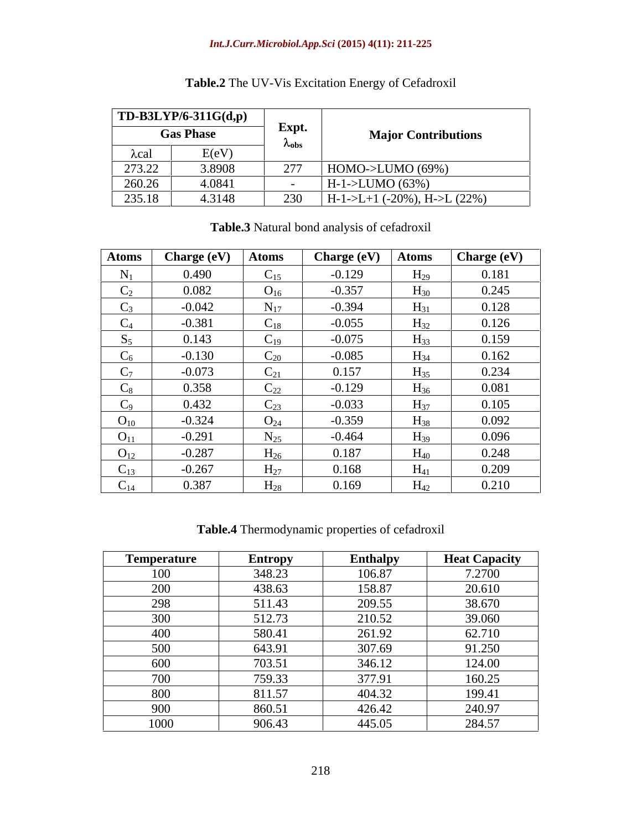|             | $TD-B3LYP/6-311G(d,p)$ |                 |                                  |
|-------------|------------------------|-----------------|----------------------------------|
|             | <b>Gas Phase</b>       | Expt.           | <b>Major Contributions</b>       |
| <b>Lcal</b> | E(eV)                  | $\lambda$ obs   |                                  |
| 273.22      | 3.8908                 | $\Omega$<br>21/ | HOMO->LUMO (69%)                 |
| 260.26      | 4.0841                 |                 | $H-1$ ->LUMO (63%)               |
| 235.18      | 4.3148                 | 230<br>$\sim$   | $H-1>>L+1$ (-20%), H- $>L$ (22%) |

# **Table.2** The UV-Vis Excitation Energy of Cefadroxil

| <b>Atoms</b>           | Charge (eV) | <b>Atoms</b>    | <b>Charge (eV)</b> | <b>Atoms</b> | <b>Charge (eV)</b> |
|------------------------|-------------|-----------------|--------------------|--------------|--------------------|
| $N_1$                  | 0.490       | $C_{15}$        | $-0.129$           | $H_{29}$     | 0.181              |
| $C_2$                  | 0.082       | $O_{16}$        | $-0.357$           | $H_{30}$     | 0.245              |
| $C_3$                  | $-0.042$    | $N_{17}$        | $-0.394$           | $H_{31}$     | 0.128              |
| $C_4$                  | $-0.381$    | $C_{18}$        | $-0.055$           | $H_{32}$     | 0.126              |
| $S_5$                  | 0.143       | $C_{19}$        | $-0.075$           | $H_{33}$     | 0.159              |
| $C_6$                  | $-0.130$    | $C_{20}$        | $-0.085$           | $H_{34}$     | 0.162              |
| $C_7$                  | $-0.073$    | $C_{21}$        | 0.157              | $H_{35}$     | 0.234              |
| $C_8$                  | 0.358       | $C_{22}$        | $-0.129$           | $H_{36}$     | 0.081              |
| $C_9$                  | 0.432       | $C_{23}$        | $-0.033$           | $H_{37}$     | 0.105              |
| $O_{10}$               | $-0.324$    | O <sub>24</sub> | $-0.359$           | $H_{38}$     | 0.092              |
| $O_{11}$               | $-0.291$    | $N_{25}$        | $-0.464$           | $H_{39}$     | 0.096              |
| $O_{12}$               | $-0.287$    | $H_{26}$        | 0.187              | $H_{40}$     | 0.248              |
| $\sqrt{ }$<br>$C_{13}$ | $-0.267$    | $H_{27}$        | 0.168              | $H_{41}$     | 0.209              |
| $\sim$<br>$C_{14}$     | 0.387       | $H_{28}$        | 0.169              | $H_{42}$     | 0.210              |

### **Table.3** Natural bond analysis of cefadroxil

**Table.4** Thermodynamic properties of cefadroxil

| Temperature | <b>Entropy</b> | <b>Enthalpy</b> | <b>Heat Capacity</b> |
|-------------|----------------|-----------------|----------------------|
| 100         | 348.23         | 106.87          | 7.2700               |
| 200         | 438.63         | 158.87          | 20.610               |
| 298         | 511.43         | 209.55          | 38.670               |
| 300         | 512.73         | 210.52          | 39.060               |
| 400         | 580.41         | 261.92          | 62.710               |
| 500         | 643.91         | 307.69          | 91.250               |
| 600         | 703.51         | 346.12          | 124.00               |
| 700         | 759.33         | 377.91          | 160.25               |
| 800         | 811.57         | 404.32          | 199.41               |
| 900         | 860.51         | 426.42          | 240.97               |
| 1000        | 906.43         | 445.05          | 284.57               |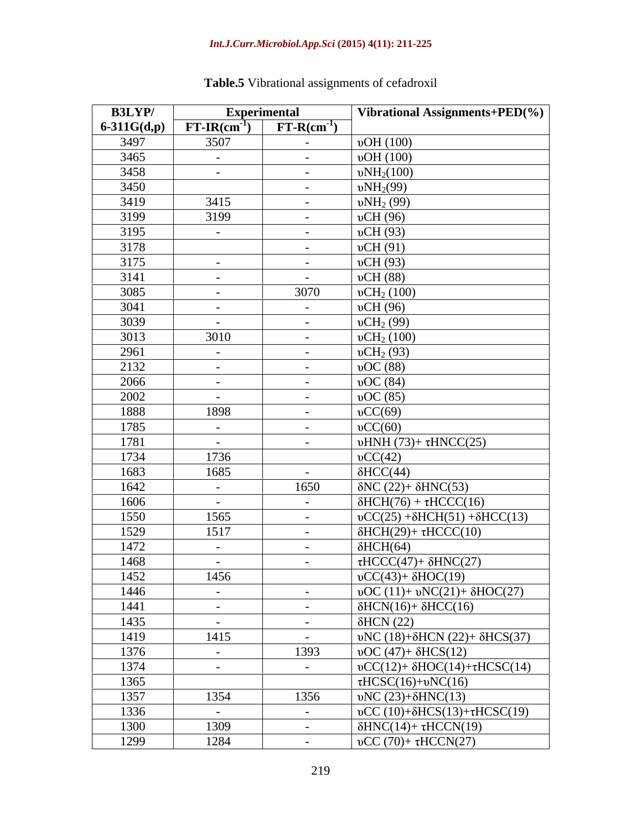| <b>B3LYP/</b>   |                      | <b>Experimental</b>  | Vibrational Assignments+PED(%)                        |
|-----------------|----------------------|----------------------|-------------------------------------------------------|
| $6 - 311G(d,p)$ | $FT-IR(cm^{-1})$     | $FT-R(cm^{-1})$      |                                                       |
| 3497            | 3507                 | $\sim$ $ -$          | vOH(100)                                              |
| 3465            | $\sim$ $ \sim$       | $\sim$ $-$           | vOH(100)                                              |
| 3458            | $\sim$               | $\sim$ $-$           | $vNH_2(100)$                                          |
| 3450            |                      | $\sim$ 100 $-$       | $vNH_2(99)$                                           |
| 3419            | 3415                 | $\sim$ $ -$          | $vNH_2(99)$                                           |
| 3199            | 3199                 | $\sim$ $-$           | vCH(96)                                               |
| 3195            | $\sim$ $ \sim$       | $\sim$ $ -$          | vCH(93)                                               |
| 3178            |                      | $\sim$ $ \sim$       | vCH(91)                                               |
| 3175            | $\sim$ $ \sim$       | $\sim$ $ -$          | vCH(93)                                               |
| 3141            | $\sim$ $-$           | $\sim$ $ \sim$       | vCH(88)                                               |
| 3085            | $\sim$ 100 $\mu$     | 3070                 | vCH <sub>2</sub> (100)                                |
| 3041            | $\sim$ $ \sim$       | $\sim$ $-$           | vCH(96)                                               |
| 3039            | $\sim$ $-$           | $\sim$ $ -$          | vCH <sub>2</sub> (99)                                 |
| 3013            | 3010                 | $\sim$ $-$           | vCH <sub>2</sub> (100)                                |
| 2961            | $\sim$ $ \sim$       | $\sim$ $ -$          | vCH <sub>2</sub> (93)                                 |
| 2132            | $\sim$ $-$           | $\sim$ $ \sim$       | $\big $ vOC (88)                                      |
| 2066            | $\sim 100$ m $^{-1}$ | $\sim$ $-$           | $\overline{vOC}$ (84)                                 |
| 2002            | $\sim 10^{-10}$      | $\sim 100$           | vOC(85)                                               |
| 1888            | 1898                 | $\sim$ $-$           | $\mathrm{vCC}(69)$                                    |
| 1785            | $\sim$ $ \sim$       | $\sim$ $ \sim$       | $\mathrm{vCC}(60)$                                    |
| 1781            | $\sim$ $-$           | $\sim$ $-$           | $\text{uHNH (73)}+\tau\text{HNCC}(25)$                |
| 1734            | 1736                 |                      | $\mathrm{vCC}(42)$                                    |
| 1683            | 1685                 | $\sim$ $-$           | $\delta$ HCC(44)                                      |
| 1642            | $\sim$ $-$           | 1650                 | $\delta NC (22) + \delta HNC(53)$                     |
| 1606            | $\sim$ $ \sim$       | $\sim 100$ m $^{-1}$ | $\delta$ HCH(76) + $\tau$ HCCC(16)                    |
| 1550            | 1565                 | $\sim 100$           | $\sigma$ CC(25) + $\delta$ HCH(51) + $\delta$ HCC(13) |
| 1529            | 1517                 | $\sim$ $-$           | $\delta$ HCH(29)+ $\tau$ HCCC(10)                     |
| 1472            | $\sim$ $ \sim$ $-$   | $\sim$ 100 $\pm$     | $\delta$ HCH(64)                                      |
| 1468            | $\sim$               | $\sim$               | $\tau HCCC(47)+\delta HNC(27)$                        |
| 1452            | 1456                 |                      | $\sigma$ CC(43)+ $\delta$ HOC(19)                     |
| 1446            | $\sim 100$           | $\sim$ $-$           | $\nu$ OC (11)+ $\nu$ NC(21)+ $\delta$ HOC(27)         |
| 1441            | $\sim$ 100 $\mu$     | $\sim$ $ -$          | $\delta$ HCN(16)+ $\delta$ HCC(16)                    |
| 1435            | $\sim 100$           | $\sim$ $-$           | $\delta$ HCN (22)                                     |
| 1419            | 1415                 | $\sim$ $ \sim$       | υNC (18)+δHCN (22)+ δHCS(37)                          |
| 1376            | $\sim$ $ \sim$       | 1393                 | $\text{vOC } (47) + \delta \text{HCS}(12)$            |
| 1374            |                      | $\sim 100$           | $\sigma$ CC(12)+ $\delta$ HOC(14)+ $\tau$ HCSC(14)    |
| 1365            |                      |                      | $HCSC(16)+vNC(16)$                                    |
| 1357            | 1354                 | 1356                 | $\mathbf{W}$ C (23)+ $\delta$ HNC(13)                 |
| 1336            | $\sim$ $ \sim$       | $\sim$ $ -$          | $\sigma$ CC (10)+ $\delta$ HCS(13)+ $\tau$ HCSC(19)   |
| 1300            | 1309                 | $\sim$ $ \sim$       | $\delta$ HNC(14)+ $\tau$ HCCN(19)                     |
| 1299            | 1284                 | $\sim$               | $\nu CC (70)+\tau HCCN(27)$                           |

# **Table.5** Vibrational assignments of cefadroxil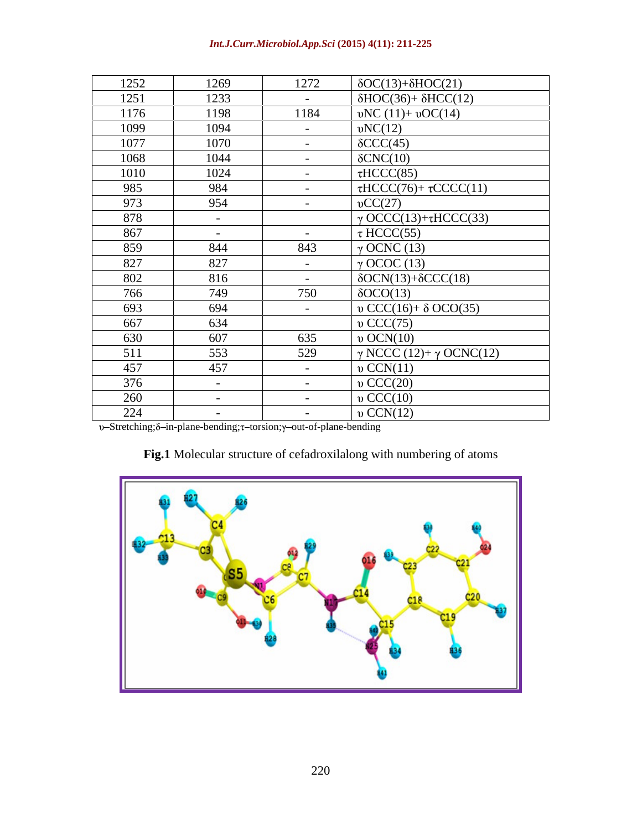| Int.J.Curr.Microbiol.App.Sci (2015) 4(11): 211-225 |
|----------------------------------------------------|
|----------------------------------------------------|

| 1252 | 1269       | 1272           | $\delta \text{OC}(13) + \delta \text{HOC}(21)$ |
|------|------------|----------------|------------------------------------------------|
| 1251 | 1233       | $\sim$ $ \sim$ | $\delta$ HOC(36)+ $\delta$ HCC(12)             |
| 1176 | 1198       | 1184           | $vNC(11)+vOC(14)$                              |
| 1099 | 1094       | $\sim$ $-$     | $\nu NC(12)$                                   |
| 1077 | 1070       | $\sim$ $-$     | $\delta$ CCC(45)                               |
| 1068 | 1044       | $\sim$ $-$     | $\delta CNC(10)$                               |
| 1010 | 1024       | $\sim$ $-$     | $\tau$ HCCC(85)                                |
| 985  | 984        | $\sim$ $-$     | $\tau$ HCCC(76)+ $\tau$ CCCC(11)               |
| 973  | 954        | $\sim$ $ \sim$ | $\mathrm{vCC}(27)$                             |
| 878  | $\sim$     |                | $\gamma$ OCCC(13)+ $\tau$ HCCC(33)             |
| 867  | $\sim$ $-$ | $\sim$ $ \sim$ | $\tau$ HCCC(55)                                |
| 859  | 844        | 843            | $\gamma$ OCNC (13)                             |
| 827  | 827        | $\sim$ $-$     | $\gamma$ OCOC (13)                             |
| 802  | 816        | $\sim$ $ \sim$ | $\delta OCN(13)+\delta CCC(18)$                |
| 766  | 749        | 750            | $\delta OCO(13)$                               |
| 693  | 694        | $\sim$ $-$     | $\upsilon$ CCC(16)+ $\delta$ OCO(35)           |
| 667  | 634        |                | $v$ CCC(75)                                    |
| 630  | 607        | 635            | $\upsilon$ OCN(10)                             |
| 511  | 553        | 529            | $\gamma$ NCCC (12)+ $\gamma$ OCNC(12)          |
| 457  | 457        | $\sim$ $-$     | $\nu$ CCN(11)                                  |
| 376  | $\sim$     | $\sim$ $-$     | $v$ CCC(20)                                    |
| 260  | $\sim$     | $\sim$ $-$     | $\upsilon$ CCC(10)                             |
| 224  | $\sim$     | $\sim$ $-$     | $\upsilon$ CCN(12)                             |

υ-Stretching;δ-in-plane-bending;τ-torsion;γ-out-of-plane-bending

# **Fig.1** Molecular structure of cefadroxilalong with numbering of atoms

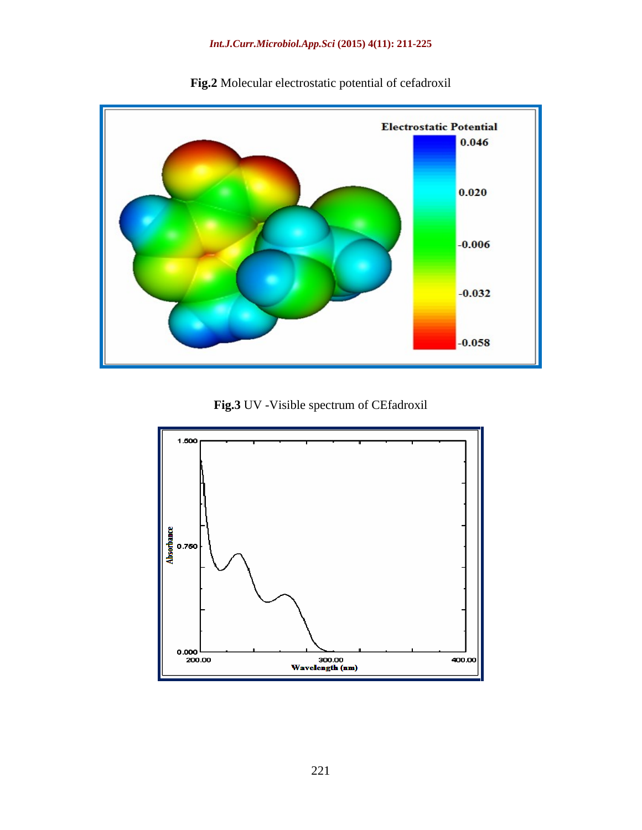

**Fig.2** Molecular electrostatic potential of cefadroxil

**Fig.3** UV -Visible spectrum of CEfadroxil

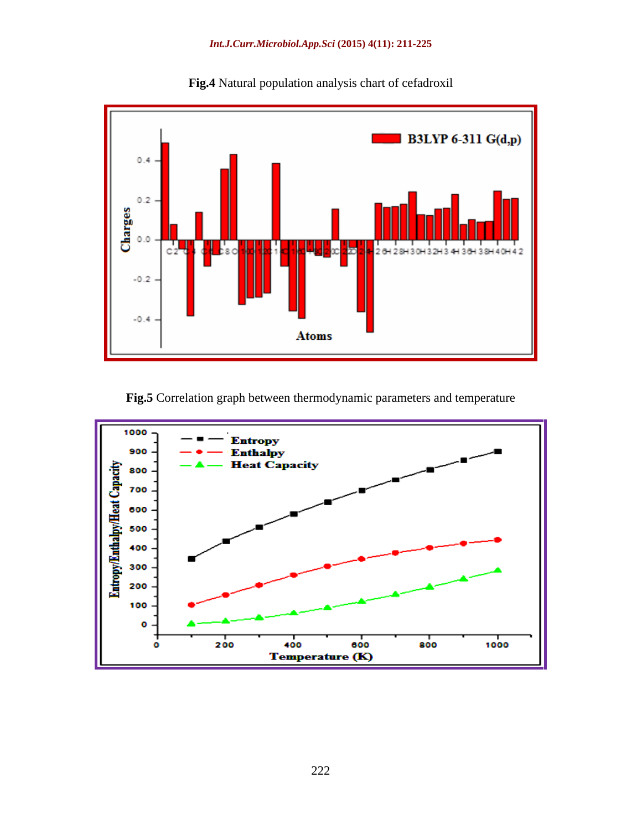

**Fig.4** Natural population analysis chart of cefadroxil

**Fig.5** Correlation graph between thermodynamic parameters and temperature

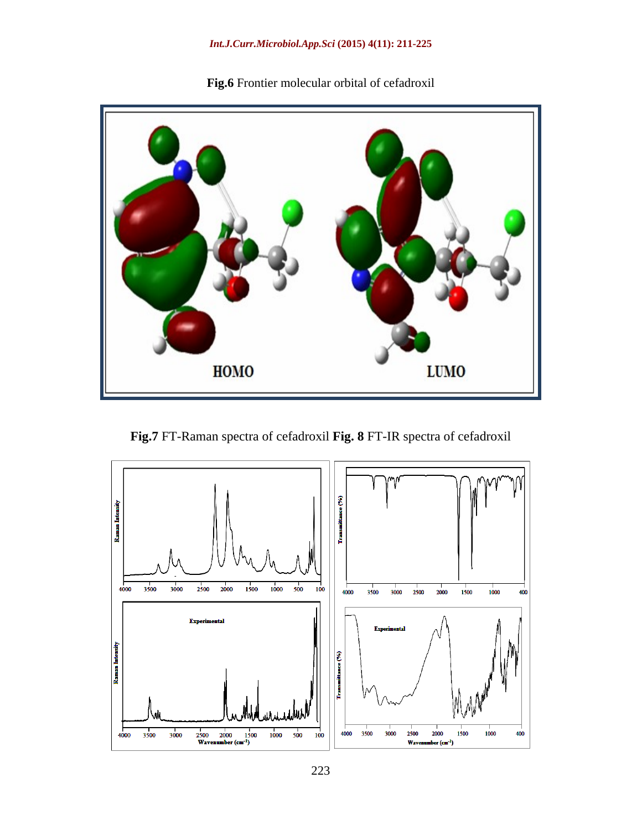

**Fig.6** Frontier molecular orbital of cefadroxil

**Fig.7** FT-Raman spectra of cefadroxil **Fig. 8** FT-IR spectra of cefadroxil

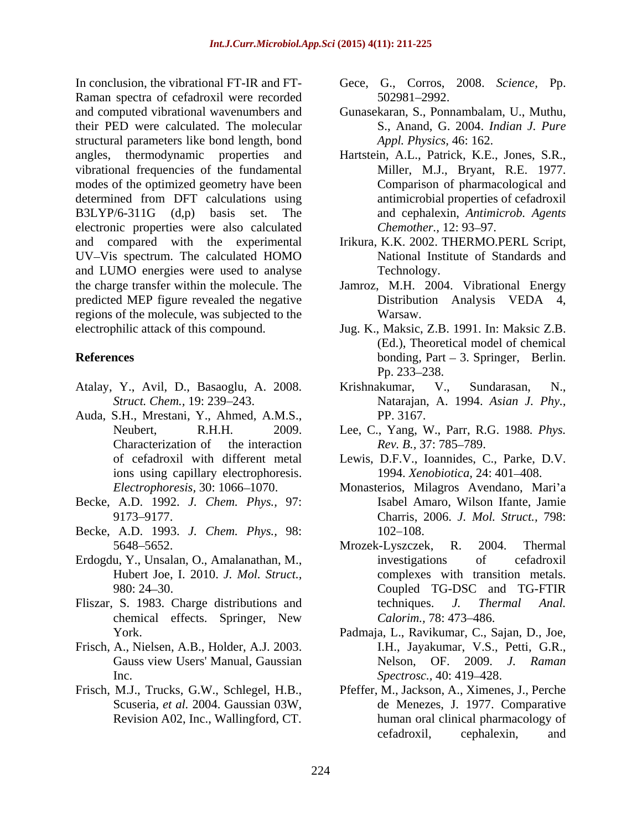Raman spectra of cefadroxil were recorded 502981-2992. and computed vibrational wavenumbers and Gunasekaran, S., Ponnambalam, U., Muthu, their PED were calculated. The molecular structural parameters like bond length, bond angles, thermodynamic properties and Hartstein, A.L., Patrick, K.E., Jones, S.R., vibrational frequencies of the fundamental modes of the optimized geometry have been determined from DFT calculations using B3LYP/6-311G (d,p) basis set. The and cephalexin, *Antimicrob. Agents* electronic properties were also calculated Chemother., 12:93-97. and compared with the experimental UV-Vis spectrum. The calculated HOMO and LUMO energies were used to analyse Technology. the charge transfer within the molecule. The Jamroz, M.H. 2004. Vibrational Energy predicted MEP figure revealed the negative Distribution Analysis VEDA 4, regions of the molecule, was subjected to the

- 
- Auda, S.H., Mrestani, Y., Ahmed, A.M.S., ions using capillary electrophoresis.
- Becke, A.D. 1992. *J. Chem. Phys.,* 97:
- Becke, A.D. 1993. *J. Chem. Phys.,* 98:
- Hubert Joe, I. 2010. *J. Mol. Struct.,*
- 
- Frisch, A., Nielsen, A.B., Holder, A.J. 2003. Inc. Spectrosc., 40: 419–428.
- Revision A02, Inc., Wallingford, CT.
- In conclusion, the vibrational FT-IR and FT- Gece, G., Corros, 2008. *Science,* Pp. 502981 2992.
	- S., Anand, G. 2004. *Indian J. Pure Appl. Physics,* 46: 162.
	- Miller, M.J., Bryant, R.E. 1977. Comparison of pharmacological and antimicrobial properties of cefadroxil *Chemother.,* 12: 93–97.
	- Irikura, K.K. 2002. THERMO.PERL Script, National Institute of Standards and Technology.
	- Distribution Analysis VEDA 4, Warsaw.
- electrophilic attack of this compound. Jug. K., Maksic, Z.B. 1991. In: Maksic Z.B. **References bonding**, Part – 3. Springer, Berlin. (Ed.), Theoretical model of chemical Pp. 233–238.
- Atalay, Y., Avil, D., Basaoglu, A. 2008. *Struct. Chem.,* 19: 239 243. Natarajan, A. 1994. *Asian J. Phy.,* Krishnakumar, V., Sundarasan, N., PP. 3167.
	- Neubert, R.H.H. 2009. Lee, C., Yang, W., Parr, R.G. 1988*. Phys.* Characterization of the interaction Rev. B., 37: 785–789. *Rev. B., 37: 785–789.*
	- of cefadroxil with different metal Lewis, D.F.V., Ioannides, C., Parke, D.V. 1994. *Xenobiotica,* 24: 401 408.
	- *Electrophoresis,* 30: 1066 1070. Monasterios, Milagros Avendano, Mari a 9173 9177. Charris, 2006. *J. Mol. Struct.,* 798: Isabel Amaro, Wilson Ifante, Jamie 102–108.
- 5648–5652. Mrozek-Lyszczek, R. 2004. Thermal Erdogdu, Y., Unsalan, O., Amalanathan, M., 980: 24 30. Coupled TG-DSC and TG-FTIR Fliszar, S. 1983. Charge distributions and techniques. J. Thermal Anal. chemical effects. Springer, New Calorim., 78: 473–486. Mrozek-Lyszczek, R. 2004. Thermal investigations of cefadroxil complexes with transition metals. techniques. *J. Thermal Anal. Calorim., 78: 473–486.* 
	- York. Padmaja, L., Ravikumar, C., Sajan, D., Joe, Gauss view Users' Manual, Gaussian Melson, OF. 2009. J. Raman I.H., Jayakumar, V.S., Petti, G.R., Nelson, OF. 2009. *J. Raman Spectrosc.,* 40: 419–428.
- Frisch, M.J., Trucks, G.W., Schlegel, H.B., Pfeffer, M., Jackson, A., Ximenes, J., Perche Scuseria, *et al.* 2004. Gaussian 03W, de Menezes, J. 1977. Comparative human oral clinical pharmacology of cefadroxil, cephalexin, and